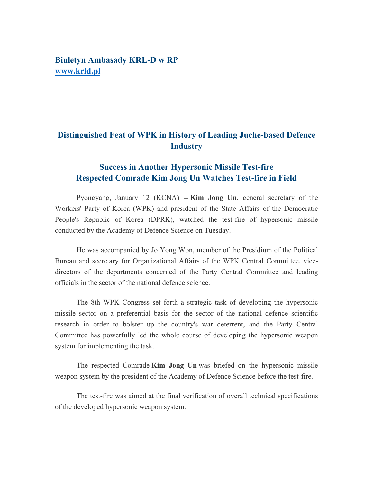## **Biuletyn Ambasady KRL-D w RP www.krld.pl**

## **Distinguished Feat of WPK in History of Leading Juche-based Defence Industry**

## **Success in Another Hypersonic Missile Test-fire Respected Comrade Kim Jong Un Watches Test-fire in Field**

Pyongyang, January 12 (KCNA) -- **Kim Jong Un**, general secretary of the Workers' Party of Korea (WPK) and president of the State Affairs of the Democratic People's Republic of Korea (DPRK), watched the test-fire of hypersonic missile conducted by the Academy of Defence Science on Tuesday.

He was accompanied by Jo Yong Won, member of the Presidium of the Political Bureau and secretary for Organizational Affairs of the WPK Central Committee, vicedirectors of the departments concerned of the Party Central Committee and leading officials in the sector of the national defence science.

The 8th WPK Congress set forth a strategic task of developing the hypersonic missile sector on a preferential basis for the sector of the national defence scientific research in order to bolster up the country's war deterrent, and the Party Central Committee has powerfully led the whole course of developing the hypersonic weapon system for implementing the task.

The respected Comrade **Kim Jong Un** was briefed on the hypersonic missile weapon system by the president of the Academy of Defence Science before the test-fire.

The test-fire was aimed at the final verification of overall technical specifications of the developed hypersonic weapon system.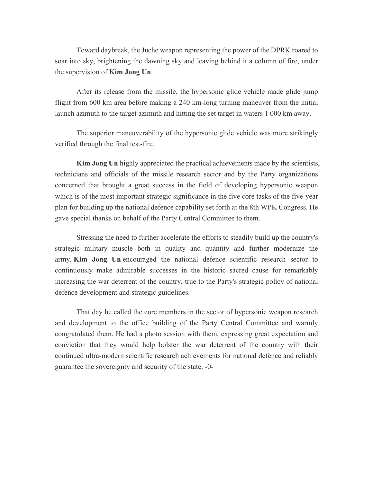Toward daybreak, the Juche weapon representing the power of the DPRK roared to soar into sky, brightening the dawning sky and leaving behind it a column of fire, under the supervision of **Kim Jong Un**.

After its release from the missile, the hypersonic glide vehicle made glide jump flight from 600 km area before making a 240 km-long turning maneuver from the initial launch azimuth to the target azimuth and hitting the set target in waters 1 000 km away.

The superior maneuverability of the hypersonic glide vehicle was more strikingly verified through the final test-fire.

**Kim Jong Un** highly appreciated the practical achievements made by the scientists, technicians and officials of the missile research sector and by the Party organizations concerned that brought a great success in the field of developing hypersonic weapon which is of the most important strategic significance in the five core tasks of the five-year plan for building up the national defence capability set forth at the 8th WPK Congress. He gave special thanks on behalf of the Party Central Committee to them.

Stressing the need to further accelerate the efforts to steadily build up the country's strategic military muscle both in quality and quantity and further modernize the army, **Kim Jong Un** encouraged the national defence scientific research sector to continuously make admirable successes in the historic sacred cause for remarkably increasing the war deterrent of the country, true to the Party's strategic policy of national defence development and strategic guidelines.

That day he called the core members in the sector of hypersonic weapon research and development to the office building of the Party Central Committee and warmly congratulated them. He had a photo session with them, expressing great expectation and conviction that they would help bolster the war deterrent of the country with their continued ultra-modern scientific research achievements for national defence and reliably guarantee the sovereignty and security of the state. -0-